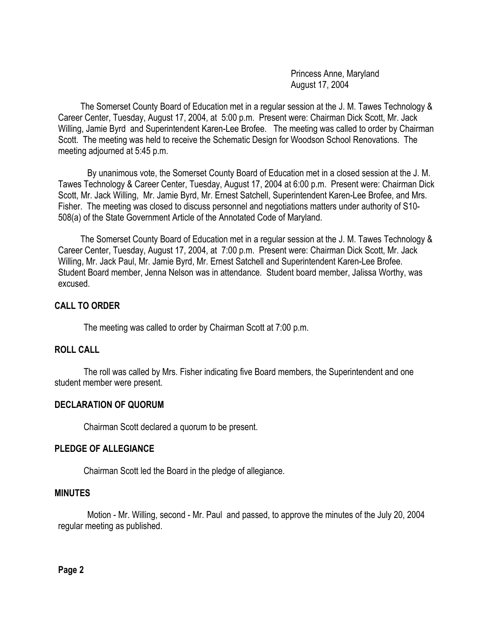Princess Anne, Maryland August 17, 2004

 The Somerset County Board of Education met in a regular session at the J. M. Tawes Technology & Career Center, Tuesday, August 17, 2004, at 5:00 p.m. Present were: Chairman Dick Scott, Mr. Jack Willing, Jamie Byrd and Superintendent Karen-Lee Brofee. The meeting was called to order by Chairman Scott. The meeting was held to receive the Schematic Design for Woodson School Renovations. The meeting adjourned at 5:45 p.m.

By unanimous vote, the Somerset County Board of Education met in a closed session at the J. M. Tawes Technology & Career Center, Tuesday, August 17, 2004 at 6:00 p.m. Present were: Chairman Dick Scott, Mr. Jack Willing, Mr. Jamie Byrd, Mr. Ernest Satchell, Superintendent Karen-Lee Brofee, and Mrs. Fisher. The meeting was closed to discuss personnel and negotiations matters under authority of S10- 508(a) of the State Government Article of the Annotated Code of Maryland.

 The Somerset County Board of Education met in a regular session at the J. M. Tawes Technology & Career Center, Tuesday, August 17, 2004, at 7:00 p.m. Present were: Chairman Dick Scott, Mr. Jack Willing, Mr. Jack Paul, Mr. Jamie Byrd, Mr. Ernest Satchell and Superintendent Karen-Lee Brofee. Student Board member, Jenna Nelson was in attendance. Student board member, Jalissa Worthy, was excused.

# **CALL TO ORDER**

The meeting was called to order by Chairman Scott at 7:00 p.m.

# **ROLL CALL**

The roll was called by Mrs. Fisher indicating five Board members, the Superintendent and one student member were present.

# **DECLARATION OF QUORUM**

Chairman Scott declared a quorum to be present.

### **PLEDGE OF ALLEGIANCE**

Chairman Scott led the Board in the pledge of allegiance.

### **MINUTES**

Motion - Mr. Willing, second - Mr. Paul and passed, to approve the minutes of the July 20, 2004 regular meeting as published.

**Page 2**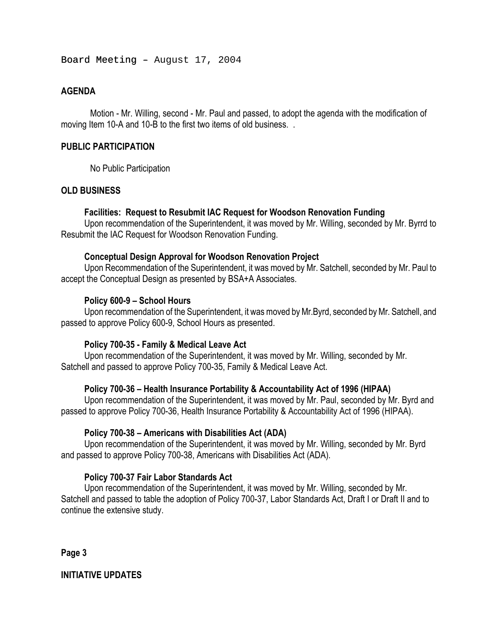Board Meeting - August 17, 2004

# **AGENDA**

Motion - Mr. Willing, second - Mr. Paul and passed, to adopt the agenda with the modification of moving Item 10-A and 10-B to the first two items of old business. .

## **PUBLIC PARTICIPATION**

No Public Participation

# **OLD BUSINESS**

### **Facilities: Request to Resubmit IAC Request for Woodson Renovation Funding**

Upon recommendation of the Superintendent, it was moved by Mr. Willing, seconded by Mr. Byrrd to Resubmit the IAC Request for Woodson Renovation Funding.

# **Conceptual Design Approval for Woodson Renovation Project**

Upon Recommendation of the Superintendent, it was moved by Mr. Satchell, seconded by Mr. Paul to accept the Conceptual Design as presented by BSA+A Associates.

# **Policy 600-9 – School Hours**

Upon recommendation of the Superintendent, it was moved by Mr.Byrd, seconded by Mr. Satchell, and passed to approve Policy 600-9, School Hours as presented.

### **Policy 700-35 - Family & Medical Leave Act**

Upon recommendation of the Superintendent, it was moved by Mr. Willing, seconded by Mr. Satchell and passed to approve Policy 700-35, Family & Medical Leave Act.

# **Policy 700-36 – Health Insurance Portability & Accountability Act of 1996 (HIPAA)**

Upon recommendation of the Superintendent, it was moved by Mr. Paul, seconded by Mr. Byrd and passed to approve Policy 700-36, Health Insurance Portability & Accountability Act of 1996 (HIPAA).

### **Policy 700-38 – Americans with Disabilities Act (ADA)**

Upon recommendation of the Superintendent, it was moved by Mr. Willing, seconded by Mr. Byrd and passed to approve Policy 700-38, Americans with Disabilities Act (ADA).

### **Policy 700-37 Fair Labor Standards Act**

Upon recommendation of the Superintendent, it was moved by Mr. Willing, seconded by Mr. Satchell and passed to table the adoption of Policy 700-37, Labor Standards Act, Draft I or Draft II and to continue the extensive study.

**Page 3** 

# **INITIATIVE UPDATES**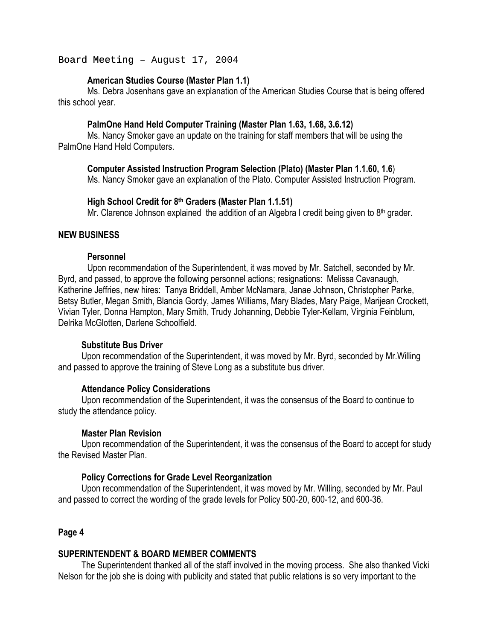### Board Meeting - August 17, 2004

# **American Studies Course (Master Plan 1.1)**

 Ms. Debra Josenhans gave an explanation of the American Studies Course that is being offered this school year.

# **PalmOne Hand Held Computer Training (Master Plan 1.63, 1.68, 3.6.12)**

 Ms. Nancy Smoker gave an update on the training for staff members that will be using the PalmOne Hand Held Computers.

 **Computer Assisted Instruction Program Selection (Plato) (Master Plan 1.1.60, 1.6**) Ms. Nancy Smoker gave an explanation of the Plato. Computer Assisted Instruction Program.

#### **High School Credit for 8th Graders (Master Plan 1.1.51)**

Mr. Clarence Johnson explained the addition of an Algebra I credit being given to 8<sup>th</sup> grader.

### **NEW BUSINESS**

#### **Personnel**

Upon recommendation of the Superintendent, it was moved by Mr. Satchell, seconded by Mr. Byrd, and passed, to approve the following personnel actions; resignations: Melissa Cavanaugh, Katherine Jeffries, new hires: Tanya Briddell, Amber McNamara, Janae Johnson, Christopher Parke, Betsy Butler, Megan Smith, Blancia Gordy, James Williams, Mary Blades, Mary Paige, Marijean Crockett, Vivian Tyler, Donna Hampton, Mary Smith, Trudy Johanning, Debbie Tyler-Kellam, Virginia Feinblum, Delrika McGlotten, Darlene Schoolfield.

#### **Substitute Bus Driver**

Upon recommendation of the Superintendent, it was moved by Mr. Byrd, seconded by Mr.Willing and passed to approve the training of Steve Long as a substitute bus driver.

#### **Attendance Policy Considerations**

Upon recommendation of the Superintendent, it was the consensus of the Board to continue to study the attendance policy.

#### **Master Plan Revision**

 Upon recommendation of the Superintendent, it was the consensus of the Board to accept for study the Revised Master Plan.

### **Policy Corrections for Grade Level Reorganization**

 Upon recommendation of the Superintendent, it was moved by Mr. Willing, seconded by Mr. Paul and passed to correct the wording of the grade levels for Policy 500-20, 600-12, and 600-36.

# **Page 4**

# **SUPERINTENDENT & BOARD MEMBER COMMENTS**

The Superintendent thanked all of the staff involved in the moving process. She also thanked Vicki Nelson for the job she is doing with publicity and stated that public relations is so very important to the